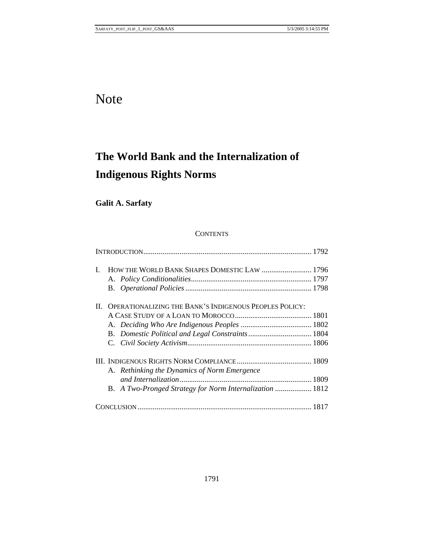# Note

# **The World Bank and the Internalization of Indigenous Rights Norms**

# **Galit A. Sarfaty**

# **CONTENTS**

| L  | HOW THE WORLD BANK SHAPES DOMESTIC LAW  1796             |  |
|----|----------------------------------------------------------|--|
|    |                                                          |  |
|    |                                                          |  |
| Н. | OPERATIONALIZING THE BANK'S INDIGENOUS PEOPLES POLICY:   |  |
|    |                                                          |  |
|    |                                                          |  |
|    |                                                          |  |
|    |                                                          |  |
|    |                                                          |  |
|    | A. Rethinking the Dynamics of Norm Emergence             |  |
|    |                                                          |  |
|    | B. A Two-Pronged Strategy for Norm Internalization  1812 |  |
|    |                                                          |  |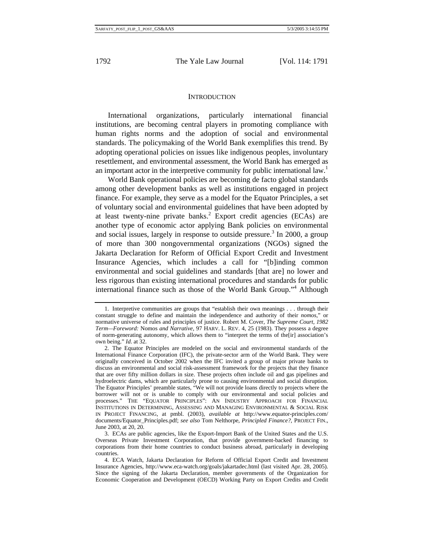#### **INTRODUCTION**

International organizations, particularly international financial institutions, are becoming central players in promoting compliance with human rights norms and the adoption of social and environmental standards. The policymaking of the World Bank exemplifies this trend. By adopting operational policies on issues like indigenous peoples, involuntary resettlement, and environmental assessment, the World Bank has emerged as an important actor in the interpretive community for public international law.<sup>1</sup>

World Bank operational policies are becoming de facto global standards among other development banks as well as institutions engaged in project finance. For example, they serve as a model for the Equator Principles, a set of voluntary social and environmental guidelines that have been adopted by at least twenty-nine private banks.<sup>2</sup> Export credit agencies (ECAs) are another type of economic actor applying Bank policies on environmental and social issues, largely in response to outside pressure.<sup>3</sup> In 2000, a group of more than 300 nongovernmental organizations (NGOs) signed the Jakarta Declaration for Reform of Official Export Credit and Investment Insurance Agencies, which includes a call for "[b]inding common environmental and social guidelines and standards [that are] no lower and less rigorous than existing international procedures and standards for public international finance such as those of the World Bank Group."4 Although

<sup>1.</sup> Interpretive communities are groups that "establish their own meanings . . . through their constant struggle to define and maintain the independence and authority of their *nomos*," or normative universe of rules and principles of justice. Robert M. Cover, *The Supreme Court, 1982 Term—Foreword:* Nomos *and Narrative*, 97 HARV. L. REV. 4, 25 (1983). They possess a degree of norm-generating autonomy, which allows them to "interpret the terms of the[ir] association's own being." *Id*. at 32.

<sup>2.</sup> The Equator Principles are modeled on the social and environmental standards of the International Finance Corporation (IFC), the private-sector arm of the World Bank. They were originally conceived in October 2002 when the IFC invited a group of major private banks to discuss an environmental and social risk-assessment framework for the projects that they finance that are over fifty million dollars in size. These projects often include oil and gas pipelines and hydroelectric dams, which are particularly prone to causing environmental and social disruption. The Equator Principles' preamble states, "We will not provide loans directly to projects where the borrower will not or is unable to comply with our environmental and social policies and processes." THE "EQUATOR PRINCIPLES": AN INDUSTRY APPROACH FOR FINANCIAL INSTITUTIONS IN DETERMINING, ASSESSING AND MANAGING ENVIRONMENTAL & SOCIAL RISK IN PROJECT FINANCING, at pmbl. (2003), *available at* http://www.equator-principles.com/ documents/Equator\_Principles.pdf; *see also* Tom Nelthorpe, *Principled Finance?*, PROJECT FIN., June 2003, at 20, 20.

<sup>3.</sup> ECAs are public agencies, like the Export-Import Bank of the United States and the U.S. Overseas Private Investment Corporation, that provide government-backed financing to corporations from their home countries to conduct business abroad, particularly in developing countries.

<sup>4.</sup> ECA Watch, Jakarta Declaration for Reform of Official Export Credit and Investment Insurance Agencies, http://www.eca-watch.org/goals/jakartadec.html (last visited Apr. 28, 2005). Since the signing of the Jakarta Declaration, member governments of the Organization for Economic Cooperation and Development (OECD) Working Party on Export Credits and Credit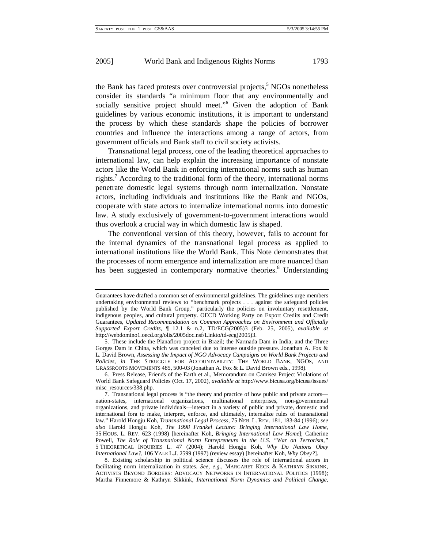the Bank has faced protests over controversial projects,<sup>5</sup> NGOs nonetheless consider its standards "a minimum floor that any environmentally and socially sensitive project should meet."<sup>6</sup> Given the adoption of Bank guidelines by various economic institutions, it is important to understand the process by which these standards shape the policies of borrower countries and influence the interactions among a range of actors, from government officials and Bank staff to civil society activists.

Transnational legal process, one of the leading theoretical approaches to international law, can help explain the increasing importance of nonstate actors like the World Bank in enforcing international norms such as human rights.<sup>7</sup> According to the traditional form of the theory, international norms penetrate domestic legal systems through norm internalization. Nonstate actors, including individuals and institutions like the Bank and NGOs, cooperate with state actors to internalize international norms into domestic law. A study exclusively of government-to-government interactions would thus overlook a crucial way in which domestic law is shaped.

The conventional version of this theory, however, fails to account for the internal dynamics of the transnational legal process as applied to international institutions like the World Bank. This Note demonstrates that the processes of norm emergence and internalization are more nuanced than has been suggested in contemporary normative theories.<sup>8</sup> Understanding

6. Press Release, Friends of the Earth et al., Memorandum on Camisea Project Violations of World Bank Safeguard Policies (Oct. 17, 2002), *available at* http://www.bicusa.org/bicusa/issues/ misc\_resources/338.php.

8. Existing scholarship in political science discusses the role of international actors in facilitating norm internalization in states. *See, e*.*g*., MARGARET KECK & KATHRYN SIKKINK, ACTIVISTS BEYOND BORDERS: ADVOCACY NETWORKS IN INTERNATIONAL POLITICS (1998); Martha Finnemore & Kathryn Sikkink, *International Norm Dynamics and Political Change*,

Guarantees have drafted a common set of environmental guidelines. The guidelines urge members undertaking environmental reviews to "benchmark projects . . . against the safeguard policies published by the World Bank Group," particularly the policies on involuntary resettlement, indigenous peoples, and cultural property. OECD Working Party on Export Credits and Credit Guarantees, *Updated Recommendation on Common Approaches on Environment and Officially Supported Export Credits*, ¶ 12.1 & n.2, TD/ECG(2005)3 (Feb. 25, 2005), *available at*  http://webdomino1.oecd.org/olis/2005doc.nsf/Linkto/td-ecg(2005)3.

<sup>5.</sup> These include the Planafloro project in Brazil; the Narmada Dam in India; and the Three Gorges Dam in China, which was canceled due to intense outside pressure. Jonathan A. Fox & L. David Brown, *Assessing the Impact of NGO Advocacy Campaigns on World Bank Projects and Policies*, *in* THE STRUGGLE FOR ACCOUNTABILITY: THE WORLD BANK, NGOS, AND GRASSROOTS MOVEMENTS 485, 500-03 (Jonathan A. Fox & L. David Brown eds., 1998).

<sup>7.</sup> Transnational legal process is "the theory and practice of how public and private actors nation-states, international organizations, multinational enterprises, non-governmental organizations, and private individuals—interact in a variety of public and private, domestic and international fora to make, interpret, enforce, and ultimately, internalize rules of transnational law." Harold Hongju Koh, *Transnational Legal Process*, 75 NEB. L. REV. 181, 183-84 (1996); *see also* Harold Hongju Koh, *The 1998 Frankel Lecture: Bringing International Law Home*, 35 HOUS. L. REV. 623 (1998) [hereinafter Koh, *Bringing International Law Home*]; Catherine Powell, *The Role of Transnational Norm Entrepreneurs in the U*.*S*. *"War on Terrorism*,*"* 5 THEORETICAL INQUIRIES L. 47 (2004); Harold Hongju Koh, *Why Do Nations Obey International Law?*, 106 YALE L.J. 2599 (1997) (review essay) [hereinafter Koh, *Why Obey?*].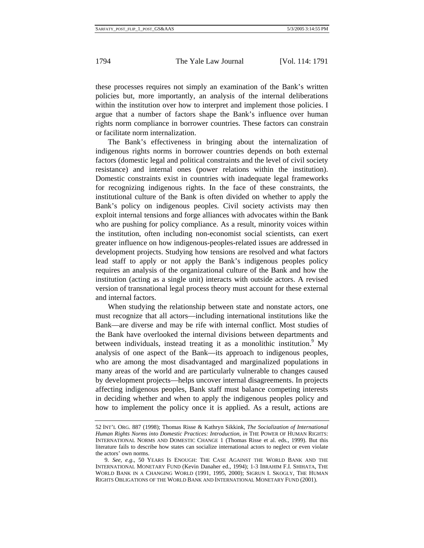these processes requires not simply an examination of the Bank's written policies but, more importantly, an analysis of the internal deliberations within the institution over how to interpret and implement those policies. I argue that a number of factors shape the Bank's influence over human rights norm compliance in borrower countries. These factors can constrain or facilitate norm internalization.

The Bank's effectiveness in bringing about the internalization of indigenous rights norms in borrower countries depends on both external factors (domestic legal and political constraints and the level of civil society resistance) and internal ones (power relations within the institution). Domestic constraints exist in countries with inadequate legal frameworks for recognizing indigenous rights. In the face of these constraints, the institutional culture of the Bank is often divided on whether to apply the Bank's policy on indigenous peoples. Civil society activists may then exploit internal tensions and forge alliances with advocates within the Bank who are pushing for policy compliance. As a result, minority voices within the institution, often including non-economist social scientists, can exert greater influence on how indigenous-peoples-related issues are addressed in development projects. Studying how tensions are resolved and what factors lead staff to apply or not apply the Bank's indigenous peoples policy requires an analysis of the organizational culture of the Bank and how the institution (acting as a single unit) interacts with outside actors. A revised version of transnational legal process theory must account for these external and internal factors.

When studying the relationship between state and nonstate actors, one must recognize that all actors—including international institutions like the Bank—are diverse and may be rife with internal conflict. Most studies of the Bank have overlooked the internal divisions between departments and between individuals, instead treating it as a monolithic institution.<sup>9</sup> My analysis of one aspect of the Bank—its approach to indigenous peoples, who are among the most disadvantaged and marginalized populations in many areas of the world and are particularly vulnerable to changes caused by development projects—helps uncover internal disagreements. In projects affecting indigenous peoples, Bank staff must balance competing interests in deciding whether and when to apply the indigenous peoples policy and how to implement the policy once it is applied. As a result, actions are

<sup>52</sup> INT'L ORG. 887 (1998); Thomas Risse & Kathryn Sikkink, *The Socialization of International Human Rights Norms into Domestic Practices: Introduction*, *in* THE POWER OF HUMAN RIGHTS: INTERNATIONAL NORMS AND DOMESTIC CHANGE 1 (Thomas Risse et al. eds., 1999). But this literature fails to describe how states can socialize international actors to neglect or even violate the actors' own norms.

<sup>9.</sup> *See, e*.*g*., 50 YEARS IS ENOUGH: THE CASE AGAINST THE WORLD BANK AND THE INTERNATIONAL MONETARY FUND (Kevin Danaher ed., 1994); 1-3 IBRAHIM F.I. SHIHATA, THE WORLD BANK IN A CHANGING WORLD (1991, 1995, 2000); SIGRUN I. SKOGLY, THE HUMAN RIGHTS OBLIGATIONS OF THE WORLD BANK AND INTERNATIONAL MONETARY FUND (2001).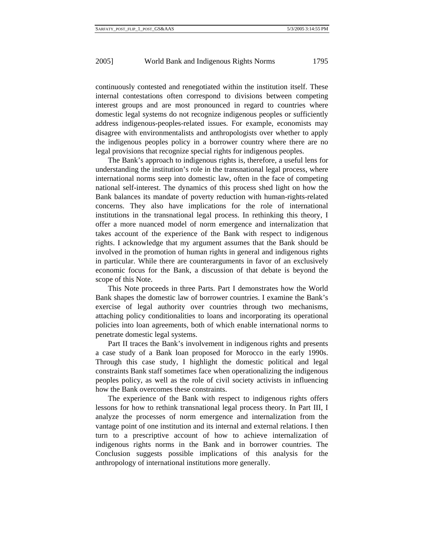continuously contested and renegotiated within the institution itself. These internal contestations often correspond to divisions between competing interest groups and are most pronounced in regard to countries where domestic legal systems do not recognize indigenous peoples or sufficiently address indigenous-peoples-related issues. For example, economists may disagree with environmentalists and anthropologists over whether to apply the indigenous peoples policy in a borrower country where there are no legal provisions that recognize special rights for indigenous peoples.

The Bank's approach to indigenous rights is, therefore, a useful lens for understanding the institution's role in the transnational legal process, where international norms seep into domestic law, often in the face of competing national self-interest. The dynamics of this process shed light on how the Bank balances its mandate of poverty reduction with human-rights-related concerns. They also have implications for the role of international institutions in the transnational legal process. In rethinking this theory, I offer a more nuanced model of norm emergence and internalization that takes account of the experience of the Bank with respect to indigenous rights. I acknowledge that my argument assumes that the Bank should be involved in the promotion of human rights in general and indigenous rights in particular. While there are counterarguments in favor of an exclusively economic focus for the Bank, a discussion of that debate is beyond the scope of this Note.

This Note proceeds in three Parts. Part I demonstrates how the World Bank shapes the domestic law of borrower countries. I examine the Bank's exercise of legal authority over countries through two mechanisms, attaching policy conditionalities to loans and incorporating its operational policies into loan agreements, both of which enable international norms to penetrate domestic legal systems.

Part II traces the Bank's involvement in indigenous rights and presents a case study of a Bank loan proposed for Morocco in the early 1990s. Through this case study, I highlight the domestic political and legal constraints Bank staff sometimes face when operationalizing the indigenous peoples policy, as well as the role of civil society activists in influencing how the Bank overcomes these constraints.

The experience of the Bank with respect to indigenous rights offers lessons for how to rethink transnational legal process theory. In Part III, I analyze the processes of norm emergence and internalization from the vantage point of one institution and its internal and external relations. I then turn to a prescriptive account of how to achieve internalization of indigenous rights norms in the Bank and in borrower countries. The Conclusion suggests possible implications of this analysis for the anthropology of international institutions more generally.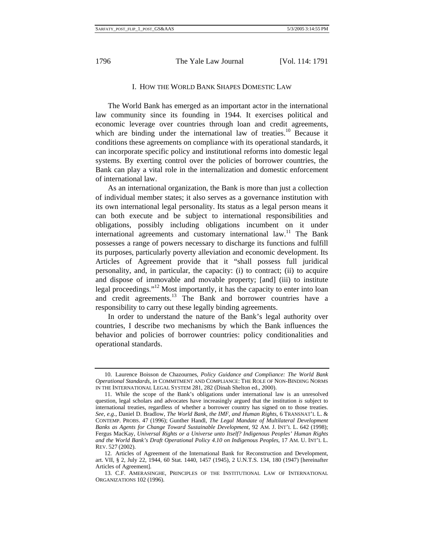# I. HOW THE WORLD BANK SHAPES DOMESTIC LAW

The World Bank has emerged as an important actor in the international law community since its founding in 1944. It exercises political and economic leverage over countries through loan and credit agreements, which are binding under the international law of treaties.<sup>10</sup> Because it conditions these agreements on compliance with its operational standards, it can incorporate specific policy and institutional reforms into domestic legal systems. By exerting control over the policies of borrower countries, the Bank can play a vital role in the internalization and domestic enforcement of international law.

As an international organization, the Bank is more than just a collection of individual member states; it also serves as a governance institution with its own international legal personality. Its status as a legal person means it can both execute and be subject to international responsibilities and obligations, possibly including obligations incumbent on it under international agreements and customary international  $law<sup>11</sup>$ . The Bank possesses a range of powers necessary to discharge its functions and fulfill its purposes, particularly poverty alleviation and economic development. Its Articles of Agreement provide that it "shall possess full juridical personality, and, in particular, the capacity: (i) to contract; (ii) to acquire and dispose of immovable and movable property; [and] (iii) to institute legal proceedings."<sup>12</sup> Most importantly, it has the capacity to enter into loan and credit agreements.<sup>13</sup> The Bank and borrower countries have a responsibility to carry out these legally binding agreements.

In order to understand the nature of the Bank's legal authority over countries, I describe two mechanisms by which the Bank influences the behavior and policies of borrower countries: policy conditionalities and operational standards.

<sup>10.</sup> Laurence Boisson de Chazournes, *Policy Guidance and Compliance: The World Bank Operational Standards*, *in* COMMITMENT AND COMPLIANCE: THE ROLE OF NON-BINDING NORMS IN THE INTERNATIONAL LEGAL SYSTEM 281, 282 (Dinah Shelton ed., 2000).

<sup>11.</sup> While the scope of the Bank's obligations under international law is an unresolved question, legal scholars and advocates have increasingly argued that the institution *is* subject to international treaties, regardless of whether a borrower country has signed on to those treaties. *See, e*.*g*., Daniel D. Bradlow, *The World Bank, the IMF, and Human Rights*, 6 TRANSNAT'L L. & CONTEMP. PROBS. 47 (1996); Gunther Handl, *The Legal Mandate of Multilateral Development Banks as Agents for Change Toward Sustainable Development*, 92 AM. J. INT'L L. 642 (1998); Fergus MacKay, *Universal Rights or a Universe unto Itself? Indigenous Peoples' Human Rights and the World Bank's Draft Operational Policy 4*.*10 on Indigenous Peoples*, 17 AM. U. INT'L L. REV. 527 (2002).

<sup>12.</sup> Articles of Agreement of the International Bank for Reconstruction and Development, art. VII, § 2, July 22, 1944, 60 Stat. 1440, 1457 (1945), 2 U.N.T.S. 134, 180 (1947) [hereinafter Articles of Agreement].

<sup>13.</sup> C.F. AMERASINGHE, PRINCIPLES OF THE INSTITUTIONAL LAW OF INTERNATIONAL ORGANIZATIONS 102 (1996).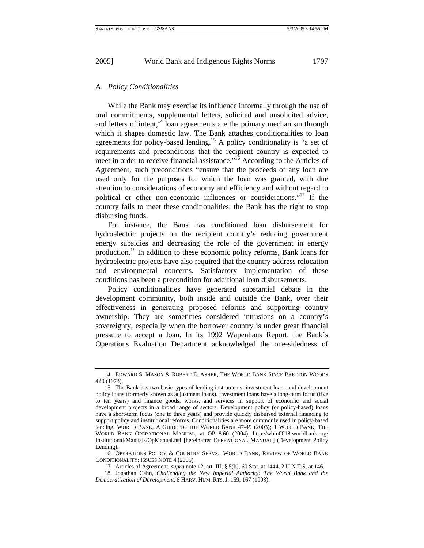#### A. *Policy Conditionalities*

While the Bank may exercise its influence informally through the use of oral commitments, supplemental letters, solicited and unsolicited advice, and letters of intent, $14$  loan agreements are the primary mechanism through which it shapes domestic law. The Bank attaches conditionalities to loan agreements for policy-based lending.<sup>15</sup> A policy conditionality is "a set of requirements and preconditions that the recipient country is expected to meet in order to receive financial assistance."<sup>16</sup> According to the Articles of Agreement, such preconditions "ensure that the proceeds of any loan are used only for the purposes for which the loan was granted, with due attention to considerations of economy and efficiency and without regard to political or other non-economic influences or considerations."17 If the country fails to meet these conditionalities, the Bank has the right to stop disbursing funds.

For instance, the Bank has conditioned loan disbursement for hydroelectric projects on the recipient country's reducing government energy subsidies and decreasing the role of the government in energy production.18 In addition to these economic policy reforms, Bank loans for hydroelectric projects have also required that the country address relocation and environmental concerns. Satisfactory implementation of these conditions has been a precondition for additional loan disbursements.

Policy conditionalities have generated substantial debate in the development community, both inside and outside the Bank, over their effectiveness in generating proposed reforms and supporting country ownership. They are sometimes considered intrusions on a country's sovereignty, especially when the borrower country is under great financial pressure to accept a loan. In its 1992 Wapenhans Report, the Bank's Operations Evaluation Department acknowledged the one-sidedness of

<sup>14.</sup> EDWARD S. MASON & ROBERT E. ASHER, THE WORLD BANK SINCE BRETTON WOODS 420 (1973).

<sup>15.</sup> The Bank has two basic types of lending instruments: investment loans and development policy loans (formerly known as adjustment loans). Investment loans have a long-term focus (five to ten years) and finance goods, works, and services in support of economic and social development projects in a broad range of sectors. Development policy (or policy-based) loans have a short-term focus (one to three years) and provide quickly disbursed external financing to support policy and institutional reforms. Conditionalities are more commonly used in policy-based lending. WORLD BANK, A GUIDE TO THE WORLD BANK 47-49 (2003); 1 WORLD BANK, THE WORLD BANK OPERATIONAL MANUAL, at OP 8.60 (2004), http://wbln0018.worldbank.org/ Institutional/Manuals/OpManual.nsf [hereinafter OPERATIONAL MANUAL] (Development Policy Lending).

<sup>16.</sup> OPERATIONS POLICY & COUNTRY SERVS., WORLD BANK, REVIEW OF WORLD BANK CONDITIONALITY: ISSUES NOTE 4 (2005).

<sup>17.</sup> Articles of Agreement, *supra* note 12, art. III, § 5(b), 60 Stat. at 1444, 2 U.N.T.S. at 146.

<sup>18.</sup> Jonathan Cahn, *Challenging the New Imperial Authority: The World Bank and the Democratization of Development*, 6 HARV. HUM. RTS. J. 159, 167 (1993).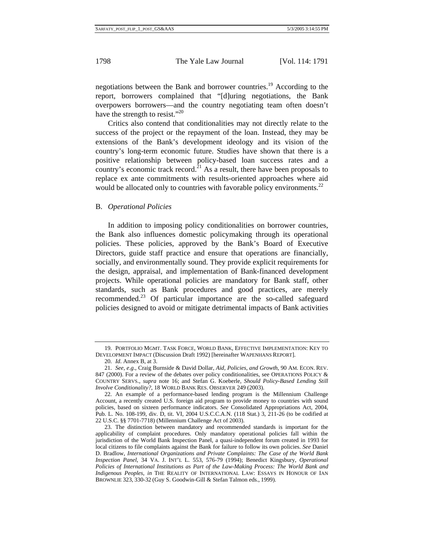negotiations between the Bank and borrower countries.<sup>19</sup> According to the report, borrowers complained that "[d]uring negotiations, the Bank overpowers borrowers—and the country negotiating team often doesn't have the strength to resist."<sup>20</sup>

Critics also contend that conditionalities may not directly relate to the success of the project or the repayment of the loan. Instead, they may be extensions of the Bank's development ideology and its vision of the country's long-term economic future. Studies have shown that there is a positive relationship between policy-based loan success rates and a country's economic track record.<sup>21</sup> As a result, there have been proposals to replace ex ante commitments with results-oriented approaches where aid would be allocated only to countries with favorable policy environments.<sup>22</sup>

#### B. *Operational Policies*

In addition to imposing policy conditionalities on borrower countries, the Bank also influences domestic policymaking through its operational policies. These policies, approved by the Bank's Board of Executive Directors, guide staff practice and ensure that operations are financially, socially, and environmentally sound. They provide explicit requirements for the design, appraisal, and implementation of Bank-financed development projects. While operational policies are mandatory for Bank staff, other standards, such as Bank procedures and good practices, are merely recommended.23 Of particular importance are the so-called safeguard policies designed to avoid or mitigate detrimental impacts of Bank activities

<sup>19.</sup> PORTFOLIO MGMT. TASK FORCE, WORLD BANK, EFFECTIVE IMPLEMENTATION: KEY TO DEVELOPMENT IMPACT (Discussion Draft 1992) [hereinafter WAPENHANS REPORT].

<sup>20.</sup> *Id*. Annex B, at 3.

<sup>21.</sup> *See, e*.*g*., Craig Burnside & David Dollar, *Aid, Policies, and Growth*, 90 AM. ECON. REV. 847 (2000). For a review of the debates over policy conditionalities, see OPERATIONS POLICY & COUNTRY SERVS., *supra* note 16; and Stefan G. Koeberle, *Should Policy-Based Lending Still Involve Conditionality?*, 18 WORLD BANK RES. OBSERVER 249 (2003).

<sup>22.</sup> An example of a performance-based lending program is the Millennium Challenge Account, a recently created U.S. foreign aid program to provide money to countries with sound policies, based on sixteen performance indicators. *See* Consolidated Appropriations Act, 2004, Pub. L. No. 108-199, div. D, tit. VI, 2004 U.S.C.C.A.N. (118 Stat.) 3, 211-26 (to be codified at 22 U.S.C. §§ 7701-7718) (Millennium Challenge Act of 2003).

<sup>23.</sup> The distinction between mandatory and recommended standards is important for the applicability of complaint procedures. Only mandatory operational policies fall within the jurisdiction of the World Bank Inspection Panel, a quasi-independent forum created in 1993 for local citizens to file complaints against the Bank for failure to follow its own policies. *See* Daniel D. Bradlow, *International Organizations and Private Complaints: The Case of the World Bank Inspection Panel*, 34 VA. J. INT'L L. 553, 576-79 (1994); Benedict Kingsbury, *Operational Policies of International Institutions as Part of the Law-Making Process: The World Bank and Indigenous Peoples*, *in* THE REALITY OF INTERNATIONAL LAW: ESSAYS IN HONOUR OF IAN BROWNLIE 323, 330-32 (Guy S. Goodwin-Gill & Stefan Talmon eds., 1999).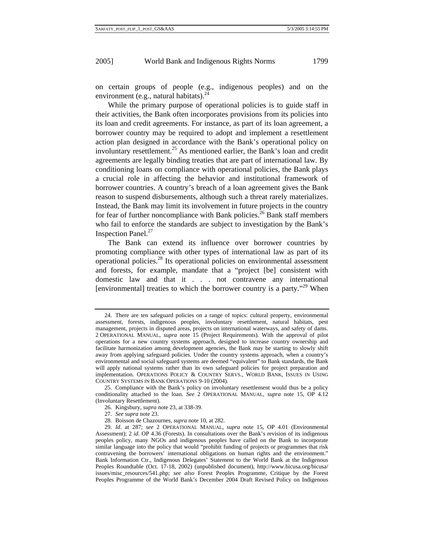on certain groups of people (e.g., indigenous peoples) and on the environment (e.g., natural habitats).<sup>2</sup>

While the primary purpose of operational policies is to guide staff in their activities, the Bank often incorporates provisions from its policies into its loan and credit agreements. For instance, as part of its loan agreement, a borrower country may be required to adopt and implement a resettlement action plan designed in accordance with the Bank's operational policy on involuntary resettlement.<sup>25</sup> As mentioned earlier, the Bank's loan and credit agreements are legally binding treaties that are part of international law. By conditioning loans on compliance with operational policies, the Bank plays a crucial role in affecting the behavior and institutional framework of borrower countries. A country's breach of a loan agreement gives the Bank reason to suspend disbursements, although such a threat rarely materializes. Instead, the Bank may limit its involvement in future projects in the country for fear of further noncompliance with Bank policies.<sup>26</sup> Bank staff members who fail to enforce the standards are subject to investigation by the Bank's Inspection Panel. $^{27}$ 

The Bank can extend its influence over borrower countries by promoting compliance with other types of international law as part of its operational policies.28 Its operational policies on environmental assessment and forests, for example, mandate that a "project [be] consistent with domestic law and that it . . . not contravene any international [environmental] treaties to which the borrower country is a party."<sup>29</sup> When

- 27. *See supra* note 23.
- 28. Boisson de Chazournes, *supra* note 10, at 282.

<sup>24.</sup> There are ten safeguard policies on a range of topics: cultural property, environmental assessment, forests, indigenous peoples, involuntary resettlement, natural habitats, pest management, projects in disputed areas, projects on international waterways, and safety of dams. 2 OPERATIONAL MANUAL, *supra* note 15 (Project Requirements). With the approval of pilot operations for a new country systems approach, designed to increase country ownership and facilitate harmonization among development agencies, the Bank may be starting to slowly shift away from applying safeguard policies. Under the country systems approach, when a country's environmental and social safeguard systems are deemed "equivalent" to Bank standards, the Bank will apply national systems rather than its own safeguard policies for project preparation and implementation. OPERATIONS POLICY & COUNTRY SERVS., WORLD BANK, ISSUES IN USING COUNTRY SYSTEMS IN BANK OPERATIONS 9-10 (2004).

<sup>25.</sup> Compliance with the Bank's policy on involuntary resettlement would thus be a policy conditionality attached to the loan. *See* 2 OPERATIONAL MANUAL, *supra* note 15, OP 4.12 (Involuntary Resettlement).

<sup>26.</sup> Kingsbury, *supra* note 23, at 338-39.

<sup>29.</sup> *Id*. at 287; *see* 2 OPERATIONAL MANUAL, *supra* note 15, OP 4.01 (Environmental Assessment); 2 *id*. OP 4.36 (Forests). In consultations over the Bank's revision of its indigenous peoples policy, many NGOs and indigenous peoples have called on the Bank to incorporate similar language into the policy that would "prohibit funding of projects or programmes that risk contravening the borrowers' international obligations on human rights and the environment." Bank Information Ctr., Indigenous Delegates' Statement to the World Bank at the Indigenous Peoples Roundtable (Oct. 17-18, 2002) (unpublished document), http://www.bicusa.org/bicusa/ issues/misc\_resources/541.php; *see also* Forest Peoples Programme, Critique by the Forest Peoples Programme of the World Bank's December 2004 Draft Revised Policy on Indigenous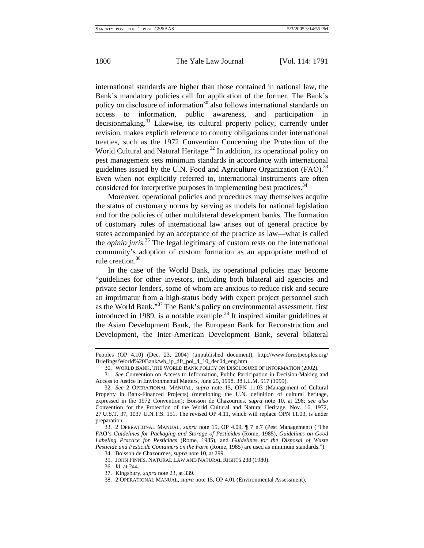international standards are higher than those contained in national law, the Bank's mandatory policies call for application of the former. The Bank's policy on disclosure of information<sup>30</sup> also follows international standards on access to information, public awareness, and participation in  $decision making.<sup>31</sup> Likewise, its cultural property policy, currently under$ revision, makes explicit reference to country obligations under international treaties, such as the 1972 Convention Concerning the Protection of the World Cultural and Natural Heritage.<sup>32</sup> In addition, its operational policy on pest management sets minimum standards in accordance with international guidelines issued by the U.N. Food and Agriculture Organization (FAO).<sup>33</sup> Even when not explicitly referred to, international instruments are often considered for interpretive purposes in implementing best practices.<sup>34</sup>

Moreover, operational policies and procedures may themselves acquire the status of customary norms by serving as models for national legislation and for the policies of other multilateral development banks. The formation of customary rules of international law arises out of general practice by states accompanied by an acceptance of the practice as law—what is called the *opinio juris*. 35 The legal legitimacy of custom rests on the international community's adoption of custom formation as an appropriate method of rule creation.<sup>36</sup>

In the case of the World Bank, its operational policies may become "guidelines for other investors, including both bilateral aid agencies and private sector lenders, some of whom are anxious to reduce risk and secure an imprimatur from a high-status body with expert project personnel such as the World Bank."37 The Bank's policy on environmental assessment, first introduced in 1989, is a notable example.<sup>38</sup> It inspired similar guidelines at the Asian Development Bank, the European Bank for Reconstruction and Development, the Inter-American Development Bank, several bilateral

31. *See* Convention on Access to Information, Public Participation in Decision-Making and Access to Justice in Environmental Matters, June 25, 1998, 38 I.L.M. 517 (1999).

Peoples (OP 4.10) (Dec. 23, 2004) (unpublished document), http://www.forestpeoples.org/ Briefings/World%20Bank/wb\_ip\_dft\_pol\_4\_10\_dec04\_eng.htm.

<sup>30.</sup> WORLD BANK, THE WORLD BANK POLICY ON DISCLOSURE OF INFORMATION (2002).

<sup>32.</sup> *See* 2 OPERATIONAL MANUAL, *supra* note 15, OPN 11.03 (Management of Cultural Property in Bank-Financed Projects) (mentioning the U.N. definition of cultural heritage, expressed in the 1972 Convention); Boisson de Chazournes, *supra* note 10, at 298; *see also* Convention for the Protection of the World Cultural and Natural Heritage, Nov. 16, 1972, 27 U.S.T. 37, 1037 U.N.T.S. 151. The revised OP 4.11, which will replace OPN 11.03, is under preparation.

<sup>33. 2</sup> OPERATIONAL MANUAL, *supra* note 15, OP 4.09, ¶ 7 n.7 (Pest Management) ("The FAO's *Guidelines for Packaging and Storage of Pesticides* (Rome, 1985), *Guidelines on Good Labeling Practice for Pesticides* (Rome, 1985), and *Guidelines for the Disposal of Waste Pesticide and Pesticide Containers on the Farm* (Rome, 1985) are used as minimum standards."). 34. Boisson de Chazournes, *supra* note 10, at 299.

<sup>35.</sup> JOHN FINNIS, NATURAL LAW AND NATURAL RIGHTS 238 (1980).

<sup>36.</sup> *Id*. at 244.

<sup>37.</sup> Kingsbury, *supra* note 23, at 339.

<sup>38. 2</sup> OPERATIONAL MANUAL, *supra* note 15, OP 4.01 (Environmental Assessment).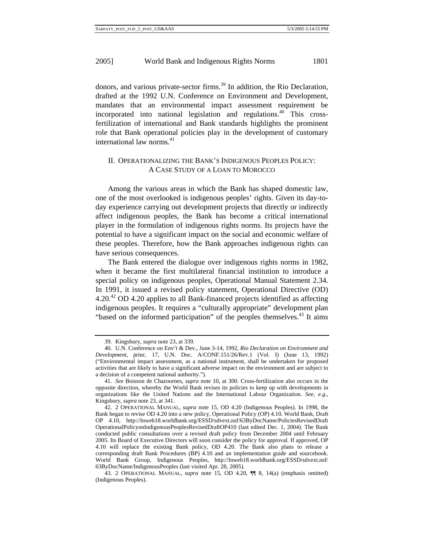donors, and various private-sector firms.<sup>39</sup> In addition, the Rio Declaration, drafted at the 1992 U.N. Conference on Environment and Development, mandates that an environmental impact assessment requirement be incorporated into national legislation and regulations.<sup>40</sup> This crossfertilization of international and Bank standards highlights the prominent role that Bank operational policies play in the development of customary international law norms. $41$ 

# II. OPERATIONALIZING THE BANK'S INDIGENOUS PEOPLES POLICY: A CASE STUDY OF A LOAN TO MOROCCO

Among the various areas in which the Bank has shaped domestic law, one of the most overlooked is indigenous peoples' rights. Given its day-today experience carrying out development projects that directly or indirectly affect indigenous peoples, the Bank has become a critical international player in the formulation of indigenous rights norms. Its projects have the potential to have a significant impact on the social and economic welfare of these peoples. Therefore, how the Bank approaches indigenous rights can have serious consequences.

The Bank entered the dialogue over indigenous rights norms in 1982, when it became the first multilateral financial institution to introduce a special policy on indigenous peoples, Operational Manual Statement 2.34. In 1991, it issued a revised policy statement, Operational Directive (OD)  $4.20<sup>42</sup>$  OD 4.20 applies to all Bank-financed projects identified as affecting indigenous peoples. It requires a "culturally appropriate" development plan "based on the informed participation" of the peoples themselves. $43$  It aims

<sup>39.</sup> Kingsbury, *supra* note 23, at 339.

<sup>40.</sup> U.N. Conference on Env't & Dev., June 3-14, 1992, *Rio Declaration on Environment and Development*, princ. 17, U.N. Doc. A/CONF.151/26/Rev.1 (Vol. I) (June 13, 1992) ("Environmental impact assessment, as a national instrument, shall be undertaken for proposed activities that are likely to have a significant adverse impact on the environment and are subject to a decision of a competent national authority.").

<sup>41.</sup> *See* Boisson de Chazournes, *supra* note 10, at 300. Cross-fertilization also occurs in the opposite direction, whereby the World Bank revises its policies to keep up with developments in organizations like the United Nations and the International Labour Organization. *See, e*.*g*., Kingsbury, *supra* note 23, at 341.

<sup>42. 2</sup> OPERATIONAL MANUAL, *supra* note 15, OD 4.20 (Indigenous Peoples). In 1998, the Bank began to revise OD 4.20 into a new policy, Operational Policy (OP) 4.10. World Bank, Draft OP 4.10, http://lnweb18.worldbank.org/ESSD/sdvext.nsf/63ByDocName/PoliciesRevisedDraft OperationalPolicyonIndigenousPeoplesRevisedDraftOP410 (last edited Dec. 1, 2004). The Bank conducted public consultations over a revised draft policy from December 2004 until February 2005. Its Board of Executive Directors will soon consider the policy for approval. If approved, OP 4.10 will replace the existing Bank policy, OD 4.20. The Bank also plans to release a corresponding draft Bank Procedures (BP) 4.10 and an implementation guide and sourcebook. World Bank Group, Indigenous Peoples, http://lnweb18.worldbank.org/ESSD/sdvext.nsf/ 63ByDocName/IndigenousPeoples (last visited Apr. 28, 2005).

<sup>43. 2</sup> OPERATIONAL MANUAL, *supra* note 15, OD 4.20, ¶¶ 8, 14(a) (emphasis omitted) (Indigenous Peoples).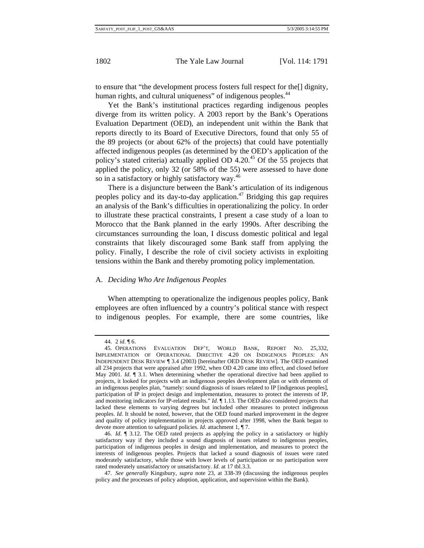to ensure that "the development process fosters full respect for the[] dignity, human rights, and cultural uniqueness" of indigenous peoples.<sup>44</sup>

Yet the Bank's institutional practices regarding indigenous peoples diverge from its written policy. A 2003 report by the Bank's Operations Evaluation Department (OED), an independent unit within the Bank that reports directly to its Board of Executive Directors, found that only 55 of the 89 projects (or about 62% of the projects) that could have potentially affected indigenous peoples (as determined by the OED's application of the policy's stated criteria) actually applied OD 4.20.45 Of the 55 projects that applied the policy, only 32 (or 58% of the 55) were assessed to have done so in a satisfactory or highly satisfactory way.<sup>46</sup>

There is a disjuncture between the Bank's articulation of its indigenous peoples policy and its day-to-day application.<sup>47</sup> Bridging this gap requires an analysis of the Bank's difficulties in operationalizing the policy. In order to illustrate these practical constraints, I present a case study of a loan to Morocco that the Bank planned in the early 1990s. After describing the circumstances surrounding the loan, I discuss domestic political and legal constraints that likely discouraged some Bank staff from applying the policy. Finally, I describe the role of civil society activists in exploiting tensions within the Bank and thereby promoting policy implementation.

#### A. *Deciding Who Are Indigenous Peoples*

When attempting to operationalize the indigenous peoples policy, Bank employees are often influenced by a country's political stance with respect to indigenous peoples. For example, there are some countries, like

<sup>44. 2</sup> *id*. ¶ 6.

<sup>45.</sup> OPERATIONS EVALUATION DEP'T, WORLD BANK, REPORT NO. 25,332, IMPLEMENTATION OF OPERATIONAL DIRECTIVE 4.20 ON INDIGENOUS PEOPLES: AN INDEPENDENT DESK REVIEW ¶ 3.4 (2003) [hereinafter OED DESK REVIEW]. The OED examined all 234 projects that were appraised after 1992, when OD 4.20 came into effect, and closed before May 2001. *Id.* ¶ 3.1. When determining whether the operational directive had been applied to projects, it looked for projects with an indigenous peoples development plan or with elements of an indigenous peoples plan, "namely: sound diagnosis of issues related to IP [indigenous peoples], participation of IP in project design and implementation, measures to protect the interests of IP, and monitoring indicators for IP-related results." *Id*. *[1.13. The OED also considered projects that* lacked these elements to varying degrees but included other measures to protect indigenous peoples. *Id*. It should be noted, however, that the OED found marked improvement in the degree and quality of policy implementation in projects approved after 1998, when the Bank began to devote more attention to safeguard policies. *Id*. attachment 1, ¶ 7.

<sup>46.</sup> *Id*. ¶ 3.12. The OED rated projects as applying the policy in a satisfactory or highly satisfactory way if they included a sound diagnosis of issues related to indigenous peoples, participation of indigenous peoples in design and implementation, and measures to protect the interests of indigenous peoples. Projects that lacked a sound diagnosis of issues were rated moderately satisfactory, while those with lower levels of participation or no participation were rated moderately unsatisfactory or unsatisfactory. *Id*. at 17 tbl.3.3.

<sup>47.</sup> *See generally* Kingsbury, *supra* note 23, at 338-39 (discussing the indigenous peoples policy and the processes of policy adoption, application, and supervision within the Bank).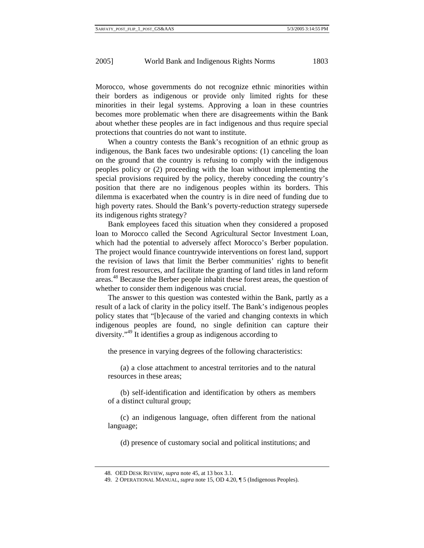Morocco, whose governments do not recognize ethnic minorities within their borders as indigenous or provide only limited rights for these minorities in their legal systems. Approving a loan in these countries becomes more problematic when there are disagreements within the Bank about whether these peoples are in fact indigenous and thus require special protections that countries do not want to institute.

When a country contests the Bank's recognition of an ethnic group as indigenous, the Bank faces two undesirable options: (1) canceling the loan on the ground that the country is refusing to comply with the indigenous peoples policy or (2) proceeding with the loan without implementing the special provisions required by the policy, thereby conceding the country's position that there are no indigenous peoples within its borders. This dilemma is exacerbated when the country is in dire need of funding due to high poverty rates. Should the Bank's poverty-reduction strategy supersede its indigenous rights strategy?

Bank employees faced this situation when they considered a proposed loan to Morocco called the Second Agricultural Sector Investment Loan, which had the potential to adversely affect Morocco's Berber population. The project would finance countrywide interventions on forest land, support the revision of laws that limit the Berber communities' rights to benefit from forest resources, and facilitate the granting of land titles in land reform areas.48 Because the Berber people inhabit these forest areas, the question of whether to consider them indigenous was crucial.

The answer to this question was contested within the Bank, partly as a result of a lack of clarity in the policy itself. The Bank's indigenous peoples policy states that "[b]ecause of the varied and changing contexts in which indigenous peoples are found, no single definition can capture their diversity."49 It identifies a group as indigenous according to

the presence in varying degrees of the following characteristics:

(a) a close attachment to ancestral territories and to the natural resources in these areas;

(b) self-identification and identification by others as members of a distinct cultural group;

(c) an indigenous language, often different from the national language;

(d) presence of customary social and political institutions; and

<sup>48.</sup> OED DESK REVIEW, *supra* note 45, at 13 box 3.1.

<sup>49. 2</sup> OPERATIONAL MANUAL, *supra* note 15, OD 4.20, ¶ 5 (Indigenous Peoples).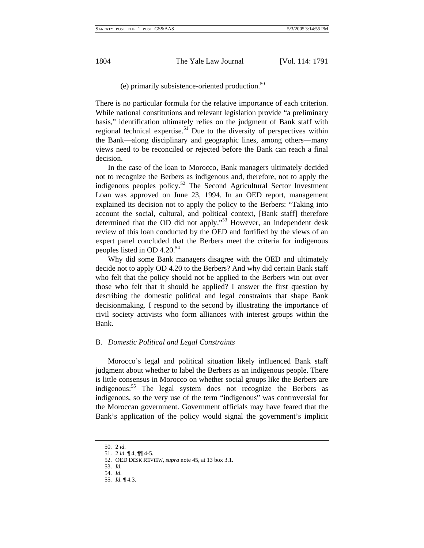(e) primarily subsistence-oriented production. $50$ 

There is no particular formula for the relative importance of each criterion. While national constitutions and relevant legislation provide "a preliminary basis," identification ultimately relies on the judgment of Bank staff with regional technical expertise.<sup>51</sup> Due to the diversity of perspectives within the Bank—along disciplinary and geographic lines, among others—many views need to be reconciled or rejected before the Bank can reach a final decision.

In the case of the loan to Morocco, Bank managers ultimately decided not to recognize the Berbers as indigenous and, therefore, not to apply the indigenous peoples policy.52 The Second Agricultural Sector Investment Loan was approved on June 23, 1994. In an OED report, management explained its decision not to apply the policy to the Berbers: "Taking into account the social, cultural, and political context, [Bank staff] therefore determined that the OD did not apply."<sup>53</sup> However, an independent desk review of this loan conducted by the OED and fortified by the views of an expert panel concluded that the Berbers meet the criteria for indigenous peoples listed in OD 4.20. $34$ 

Why did some Bank managers disagree with the OED and ultimately decide not to apply OD 4.20 to the Berbers? And why did certain Bank staff who felt that the policy should not be applied to the Berbers win out over those who felt that it should be applied? I answer the first question by describing the domestic political and legal constraints that shape Bank decisionmaking. I respond to the second by illustrating the importance of civil society activists who form alliances with interest groups within the Bank.

#### B. *Domestic Political and Legal Constraints*

Morocco's legal and political situation likely influenced Bank staff judgment about whether to label the Berbers as an indigenous people. There is little consensus in Morocco on whether social groups like the Berbers are indigenous:<sup>55</sup> The legal system does not recognize the Berbers as indigenous, so the very use of the term "indigenous" was controversial for the Moroccan government. Government officials may have feared that the Bank's application of the policy would signal the government's implicit

<sup>50. 2</sup> *id*.

<sup>51. 2</sup> *id*. ¶ 4, ¶¶ 4-5.

<sup>52.</sup> OED DESK REVIEW, *supra* note 45, at 13 box 3.1.

<sup>53.</sup> *Id*.

<sup>54.</sup> *Id*.

<sup>55.</sup> *Id*. ¶ 4.3.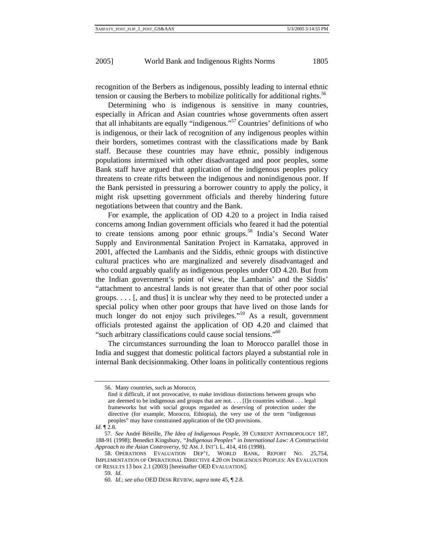recognition of the Berbers as indigenous, possibly leading to internal ethnic tension or causing the Berbers to mobilize politically for additional rights.<sup>56</sup>

Determining who is indigenous is sensitive in many countries, especially in African and Asian countries whose governments often assert that all inhabitants are equally "indigenous."57 Countries' definitions of who is indigenous, or their lack of recognition of any indigenous peoples within their borders, sometimes contrast with the classifications made by Bank staff. Because these countries may have ethnic, possibly indigenous populations intermixed with other disadvantaged and poor peoples, some Bank staff have argued that application of the indigenous peoples policy threatens to create rifts between the indigenous and nonindigenous poor. If the Bank persisted in pressuring a borrower country to apply the policy, it might risk upsetting government officials and thereby hindering future negotiations between that country and the Bank.

For example, the application of OD 4.20 to a project in India raised concerns among Indian government officials who feared it had the potential to create tensions among poor ethnic groups.<sup>58</sup> India's Second Water Supply and Environmental Sanitation Project in Karnataka, approved in 2001, affected the Lambanis and the Siddis, ethnic groups with distinctive cultural practices who are marginalized and severely disadvantaged and who could arguably qualify as indigenous peoples under OD 4.20. But from the Indian government's point of view, the Lambanis' and the Siddis' "attachment to ancestral lands is not greater than that of other poor social groups. . . . [, and thus] it is unclear why they need to be protected under a special policy when other poor groups that have lived on those lands for much longer do not enjoy such privileges."<sup>59</sup> As a result, government officials protested against the application of OD 4.20 and claimed that "such arbitrary classifications could cause social tensions."<sup>60</sup>

The circumstances surrounding the loan to Morocco parallel those in India and suggest that domestic political factors played a substantial role in internal Bank decisionmaking. Other loans in politically contentious regions

<sup>56.</sup> Many countries, such as Morocco,

find it difficult, if not provocative, to make invidious distinctions between groups who are deemed to be indigenous and groups that are not. . . . [I]n countries without . . . legal frameworks but with social groups regarded as deserving of protection under the directive (for example, Morocco, Ethiopia), the very use of the term "indigenous peoples" may have constrained application of the OD provisions.

*Id*. ¶ 2.8.

<sup>57.</sup> *See* André Béteille, *The Idea of Indigenous People*, 39 CURRENT ANTHROPOLOGY 187, 188-91 (1998); Benedict Kingsbury, *"Indigenous Peoples" in International Law: A Constructivist Approach to the Asian Controversy*, 92 AM. J. INT'L L. 414, 416 (1998).

<sup>58.</sup> OPERATIONS EVALUATION DEP'T, WORLD BANK, REPORT NO. 25,754, IMPLEMENTATION OF OPERATIONAL DIRECTIVE 4.20 ON INDIGENOUS PEOPLES: AN EVALUATION OF RESULTS 13 box 2.1 (2003) [hereinafter OED EVALUATION].

<sup>59.</sup> *Id*.

<sup>60.</sup> *Id*.; *see also* OED DESK REVIEW, *supra* note 45, ¶ 2.8.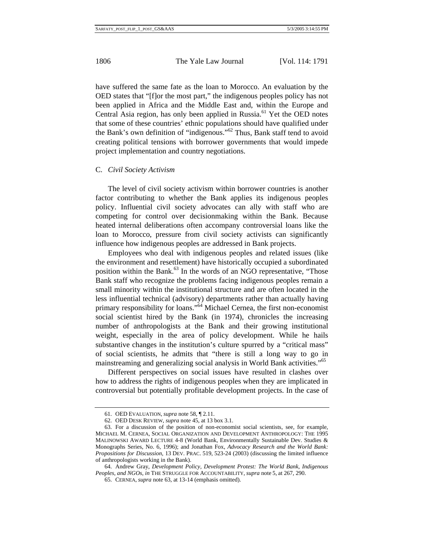have suffered the same fate as the loan to Morocco. An evaluation by the OED states that "[f]or the most part," the indigenous peoples policy has not been applied in Africa and the Middle East and, within the Europe and Central Asia region, has only been applied in Russia.<sup>61</sup> Yet the OED notes that some of these countries' ethnic populations should have qualified under the Bank's own definition of "indigenous."62 Thus, Bank staff tend to avoid creating political tensions with borrower governments that would impede project implementation and country negotiations.

#### C. *Civil Society Activism*

The level of civil society activism within borrower countries is another factor contributing to whether the Bank applies its indigenous peoples policy. Influential civil society advocates can ally with staff who are competing for control over decisionmaking within the Bank. Because heated internal deliberations often accompany controversial loans like the loan to Morocco, pressure from civil society activists can significantly influence how indigenous peoples are addressed in Bank projects.

Employees who deal with indigenous peoples and related issues (like the environment and resettlement) have historically occupied a subordinated position within the Bank. $^{63}$  In the words of an NGO representative, "Those Bank staff who recognize the problems facing indigenous peoples remain a small minority within the institutional structure and are often located in the less influential technical (advisory) departments rather than actually having primary responsibility for loans."<sup>64</sup> Michael Cernea, the first non-economist social scientist hired by the Bank (in 1974), chronicles the increasing number of anthropologists at the Bank and their growing institutional weight, especially in the area of policy development. While he hails substantive changes in the institution's culture spurred by a "critical mass" of social scientists, he admits that "there is still a long way to go in mainstreaming and generalizing social analysis in World Bank activities.<sup>"65</sup>

Different perspectives on social issues have resulted in clashes over how to address the rights of indigenous peoples when they are implicated in controversial but potentially profitable development projects. In the case of

<sup>61.</sup> OED EVALUATION, *supra* note 58, ¶ 2.11.

<sup>62.</sup> OED DESK REVIEW, *supra* note 45, at 13 box 3.1.

<sup>63.</sup> For a discussion of the position of non-economist social scientists, see, for example, MICHAEL M. CERNEA, SOCIAL ORGANIZATION AND DEVELOPMENT ANTHROPOLOGY: THE 1995 MALINOWSKI AWARD LECTURE 4-8 (World Bank, Environmentally Sustainable Dev. Studies & Monographs Series, No. 6, 1996); and Jonathan Fox, *Advocacy Research and the World Bank: Propositions for Discussion*, 13 DEV. PRAC. 519, 523-24 (2003) (discussing the limited influence of anthropologists working in the Bank).

<sup>64.</sup> Andrew Gray, *Development Policy, Development Protest: The World Bank, Indigenous Peoples, and NGOs*, *in* THE STRUGGLE FOR ACCOUNTABILITY, *supra* note 5, at 267, 290.

<sup>65.</sup> CERNEA, *supra* note 63, at 13-14 (emphasis omitted).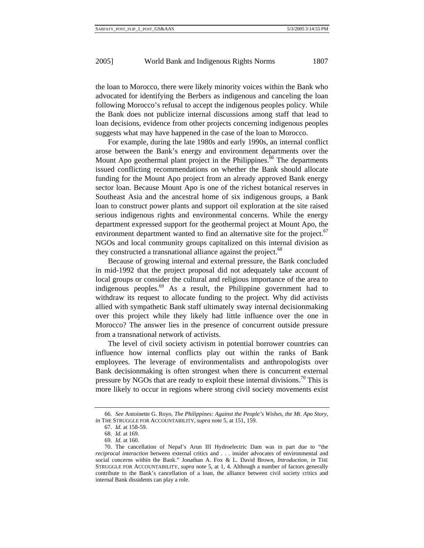the loan to Morocco, there were likely minority voices within the Bank who advocated for identifying the Berbers as indigenous and canceling the loan following Morocco's refusal to accept the indigenous peoples policy. While the Bank does not publicize internal discussions among staff that lead to loan decisions, evidence from other projects concerning indigenous peoples suggests what may have happened in the case of the loan to Morocco.

For example, during the late 1980s and early 1990s, an internal conflict arose between the Bank's energy and environment departments over the Mount Apo geothermal plant project in the Philippines.<sup>66</sup> The departments issued conflicting recommendations on whether the Bank should allocate funding for the Mount Apo project from an already approved Bank energy sector loan. Because Mount Apo is one of the richest botanical reserves in Southeast Asia and the ancestral home of six indigenous groups, a Bank loan to construct power plants and support oil exploration at the site raised serious indigenous rights and environmental concerns. While the energy department expressed support for the geothermal project at Mount Apo, the environment department wanted to find an alternative site for the project.<sup>67</sup> NGOs and local community groups capitalized on this internal division as they constructed a transnational alliance against the project.<sup>68</sup>

Because of growing internal and external pressure, the Bank concluded in mid-1992 that the project proposal did not adequately take account of local groups or consider the cultural and religious importance of the area to indigenous peoples.69 As a result, the Philippine government had to withdraw its request to allocate funding to the project. Why did activists allied with sympathetic Bank staff ultimately sway internal decisionmaking over this project while they likely had little influence over the one in Morocco? The answer lies in the presence of concurrent outside pressure from a transnational network of activists.

The level of civil society activism in potential borrower countries can influence how internal conflicts play out within the ranks of Bank employees. The leverage of environmentalists and anthropologists over Bank decisionmaking is often strongest when there is concurrent external pressure by NGOs that are ready to exploit these internal divisions.<sup>70</sup> This is more likely to occur in regions where strong civil society movements exist

<sup>66.</sup> *See* Antoinette G. Royo, *The Philippines: Against the People's Wishes, the Mt*. *Apo Story*, *in* THE STRUGGLE FOR ACCOUNTABILITY, *supra* note 5, at 151, 159.

<sup>67.</sup> *Id*. at 158-59.

<sup>68.</sup> *Id*. at 169.

<sup>69.</sup> *Id*. at 160.

<sup>70.</sup> The cancellation of Nepal's Arun III Hydroelectric Dam was in part due to "the *reciprocal interaction* between external critics and . . . insider advocates of environmental and social concerns within the Bank." Jonathan A. Fox & L. David Brown, *Introduction*, *in* THE STRUGGLE FOR ACCOUNTABILITY, *supra* note 5, at 1, 4. Although a number of factors generally contribute to the Bank's cancellation of a loan, the alliance between civil society critics and internal Bank dissidents can play a role.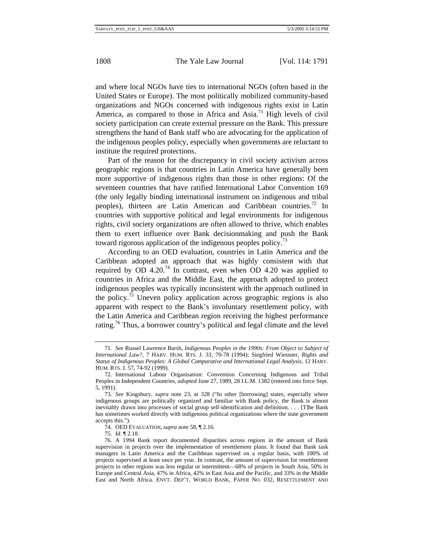and where local NGOs have ties to international NGOs (often based in the United States or Europe). The most politically mobilized community-based organizations and NGOs concerned with indigenous rights exist in Latin America, as compared to those in Africa and Asia.<sup>71</sup> High levels of civil society participation can create external pressure on the Bank. This pressure strengthens the hand of Bank staff who are advocating for the application of the indigenous peoples policy, especially when governments are reluctant to institute the required protections.

Part of the reason for the discrepancy in civil society activism across geographic regions is that countries in Latin America have generally been more supportive of indigenous rights than those in other regions: Of the seventeen countries that have ratified International Labor Convention 169 (the only legally binding international instrument on indigenous and tribal peoples), thirteen are Latin American and Caribbean countries.<sup>72</sup> In countries with supportive political and legal environments for indigenous rights, civil society organizations are often allowed to thrive, which enables them to exert influence over Bank decisionmaking and push the Bank toward rigorous application of the indigenous peoples policy.<sup>73</sup>

According to an OED evaluation, countries in Latin America and the Caribbean adopted an approach that was highly consistent with that required by OD 4.20.<sup>74</sup> In contrast, even when OD 4.20 was applied to countries in Africa and the Middle East, the approach adopted to protect indigenous peoples was typically inconsistent with the approach outlined in the policy.<sup>75</sup> Uneven policy application across geographic regions is also apparent with respect to the Bank's involuntary resettlement policy, with the Latin America and Caribbean region receiving the highest performance rating.76 Thus, a borrower country's political and legal climate and the level

<sup>71.</sup> *See* Russel Lawrence Barsh, *Indigenous Peoples in the 1990s: From Object to Subject of International Law?*, 7 HARV. HUM. RTS. J. 33, 70-78 (1994); Siegfried Wiessner, *Rights and Status of Indigenous Peoples: A Global Comparative and International Legal Analysis*, 12 HARV. HUM. RTS. J. 57, 74-92 (1999).

<sup>72.</sup> International Labour Organisation: Convention Concerning Indigenous and Tribal Peoples in Independent Countries, *adopted* June 27, 1989, 28 I.L.M. 1382 (entered into force Sept. 5, 1991).

<sup>73.</sup> *See* Kingsbury, *supra* note 23, at 328 ("In other [borrowing] states, especially where indigenous groups are politically organized and familiar with Bank policy, the Bank is almost inevitably drawn into processes of social group self-identification and definition. . . . [T]he Bank has sometimes worked directly with indigenous political organizations where the state government accepts this.").

<sup>74.</sup> OED EVALUATION, *supra* note 58, ¶ 2.16.

<sup>75.</sup> *Id*. ¶ 2.18.

<sup>76.</sup> A 1994 Bank report documented disparities across regions in the amount of Bank supervision in projects over the implementation of resettlement plans. It found that Bank task managers in Latin America and the Caribbean supervised on a regular basis, with 100% of projects supervised at least once per year. In contrast, the amount of supervision for resettlement projects in other regions was less regular or intermittent—68% of projects in South Asia, 50% in Europe and Central Asia, 47% in Africa, 42% in East Asia and the Pacific, and 33% in the Middle East and North Africa. ENVT. DEP'T, WORLD BANK, PAPER NO. 032, RESETTLEMENT AND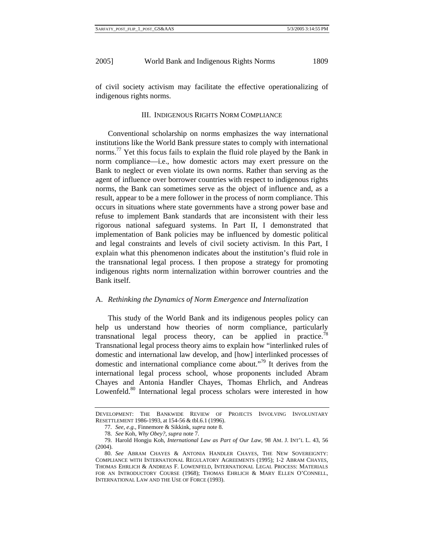of civil society activism may facilitate the effective operationalizing of indigenous rights norms.

#### III. INDIGENOUS RIGHTS NORM COMPLIANCE

Conventional scholarship on norms emphasizes the way international institutions like the World Bank pressure states to comply with international norms.<sup>77</sup> Yet this focus fails to explain the fluid role played by the Bank in norm compliance—i.e., how domestic actors may exert pressure on the Bank to neglect or even violate its own norms. Rather than serving as the agent of influence over borrower countries with respect to indigenous rights norms, the Bank can sometimes serve as the object of influence and, as a result, appear to be a mere follower in the process of norm compliance. This occurs in situations where state governments have a strong power base and refuse to implement Bank standards that are inconsistent with their less rigorous national safeguard systems. In Part II, I demonstrated that implementation of Bank policies may be influenced by domestic political and legal constraints and levels of civil society activism. In this Part, I explain what this phenomenon indicates about the institution's fluid role in the transnational legal process. I then propose a strategy for promoting indigenous rights norm internalization within borrower countries and the Bank itself.

#### A. *Rethinking the Dynamics of Norm Emergence and Internalization*

This study of the World Bank and its indigenous peoples policy can help us understand how theories of norm compliance, particularly transnational legal process theory, can be applied in practice.<sup>78</sup> Transnational legal process theory aims to explain how "interlinked rules of domestic and international law develop, and [how] interlinked processes of domestic and international compliance come about."79 It derives from the international legal process school, whose proponents included Abram Chayes and Antonia Handler Chayes, Thomas Ehrlich, and Andreas Lowenfeld.<sup>80</sup> International legal process scholars were interested in how

DEVELOPMENT: THE BANKWIDE REVIEW OF PROJECTS INVOLVING INVOLUNTARY RESETTLEMENT 1986-1993, at 154-56 & tbl.6.1 (1996).

<sup>77.</sup> *See, e*.*g*., Finnemore & Sikkink, *supra* note 8.

<sup>78.</sup> *See* Koh, *Why Obey?*, *supra* note 7.

<sup>79.</sup> Harold Hongju Koh, *International Law as Part of Our Law*, 98 AM. J. INT'L L. 43, 56 (2004).

<sup>80.</sup> *See* ABRAM CHAYES & ANTONIA HANDLER CHAYES, THE NEW SOVEREIGNTY: COMPLIANCE WITH INTERNATIONAL REGULATORY AGREEMENTS (1995); 1-2 ABRAM CHAYES, THOMAS EHRLICH & ANDREAS F. LOWENFELD, INTERNATIONAL LEGAL PROCESS: MATERIALS FOR AN INTRODUCTORY COURSE (1968); THOMAS EHRLICH & MARY ELLEN O'CONNELL, INTERNATIONAL LAW AND THE USE OF FORCE (1993).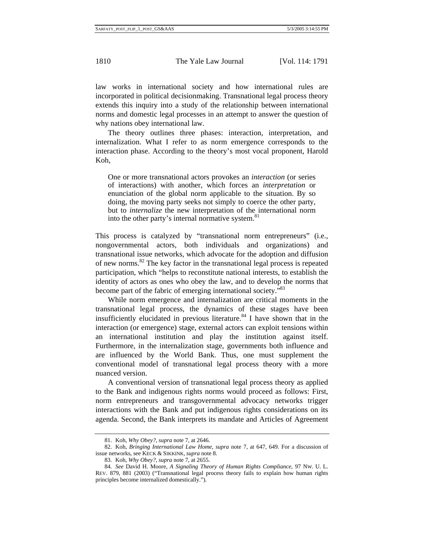law works in international society and how international rules are incorporated in political decisionmaking. Transnational legal process theory extends this inquiry into a study of the relationship between international norms and domestic legal processes in an attempt to answer the question of why nations obey international law.

The theory outlines three phases: interaction, interpretation, and internalization. What I refer to as norm emergence corresponds to the interaction phase. According to the theory's most vocal proponent, Harold Koh,

One or more transnational actors provokes an *interaction* (or series of interactions) with another, which forces an *interpretation* or enunciation of the global norm applicable to the situation. By so doing, the moving party seeks not simply to coerce the other party, but to *internalize* the new interpretation of the international norm into the other party's internal normative system.<sup>81</sup>

This process is catalyzed by "transnational norm entrepreneurs" (i.e., nongovernmental actors, both individuals and organizations) and transnational issue networks, which advocate for the adoption and diffusion of new norms.82 The key factor in the transnational legal process is repeated participation, which "helps to reconstitute national interests, to establish the identity of actors as ones who obey the law, and to develop the norms that become part of the fabric of emerging international society."83

While norm emergence and internalization are critical moments in the transnational legal process, the dynamics of these stages have been insufficiently elucidated in previous literature.<sup>84</sup> I have shown that in the interaction (or emergence) stage, external actors can exploit tensions within an international institution and play the institution against itself. Furthermore, in the internalization stage, governments both influence and are influenced by the World Bank. Thus, one must supplement the conventional model of transnational legal process theory with a more nuanced version.

A conventional version of transnational legal process theory as applied to the Bank and indigenous rights norms would proceed as follows: First, norm entrepreneurs and transgovernmental advocacy networks trigger interactions with the Bank and put indigenous rights considerations on its agenda. Second, the Bank interprets its mandate and Articles of Agreement

<sup>81.</sup> Koh, *Why Obey?*, *supra* note 7, at 2646.

<sup>82.</sup> Koh, *Bringing International Law Home*, *supra* note 7, at 647, 649. For a discussion of issue networks, see KECK & SIKKINK, *supra* note 8.

<sup>83.</sup> Koh, *Why Obey?*, *supra* note 7, at 2655.

<sup>84.</sup> *See* David H. Moore, *A Signaling Theory of Human Rights Compliance*, 97 NW. U. L. REV. 879, 881 (2003) ("Transnational legal process theory fails to explain how human rights principles become internalized domestically.").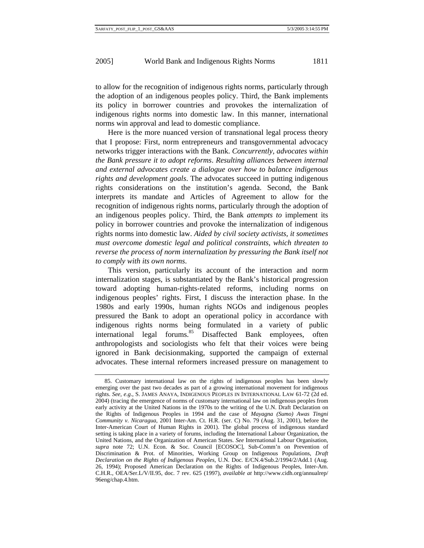to allow for the recognition of indigenous rights norms, particularly through the adoption of an indigenous peoples policy. Third, the Bank implements its policy in borrower countries and provokes the internalization of indigenous rights norms into domestic law. In this manner, international norms win approval and lead to domestic compliance.

Here is the more nuanced version of transnational legal process theory that I propose: First, norm entrepreneurs and transgovernmental advocacy networks trigger interactions with the Bank. *Concurrently, advocates within the Bank pressure it to adopt reforms*. *Resulting alliances between internal and external advocates create a dialogue over how to balance indigenous rights and development goals*. The advocates succeed in putting indigenous rights considerations on the institution's agenda. Second, the Bank interprets its mandate and Articles of Agreement to allow for the recognition of indigenous rights norms, particularly through the adoption of an indigenous peoples policy. Third, the Bank *attempts to* implement its policy in borrower countries and provoke the internalization of indigenous rights norms into domestic law. *Aided by civil society activists, it sometimes must overcome domestic legal and political constraints, which threaten to reverse the process of norm internalization by pressuring the Bank itself not to comply with its own norms*.

This version, particularly its account of the interaction and norm internalization stages, is substantiated by the Bank's historical progression toward adopting human-rights-related reforms, including norms on indigenous peoples' rights. First, I discuss the interaction phase. In the 1980s and early 1990s, human rights NGOs and indigenous peoples pressured the Bank to adopt an operational policy in accordance with indigenous rights norms being formulated in a variety of public international legal forums.<sup>85</sup> Disaffected Bank employees, often anthropologists and sociologists who felt that their voices were being ignored in Bank decisionmaking, supported the campaign of external advocates. These internal reformers increased pressure on management to

<sup>85.</sup> Customary international law on the rights of indigenous peoples has been slowly emerging over the past two decades as part of a growing international movement for indigenous rights. *See, e*.*g*., S. JAMES ANAYA, INDIGENOUS PEOPLES IN INTERNATIONAL LAW 61-72 (2d ed. 2004) (tracing the emergence of norms of customary international law on indigenous peoples from early activity at the United Nations in the 1970s to the writing of the U.N. Draft Declaration on the Rights of Indigenous Peoples in 1994 and the case of *Mayagna (Sumo) Awas Tingni Community v*. *Nicaragua*, 2001 Inter-Am. Ct. H.R. (ser. C) No. 79 (Aug. 31, 2001), before the Inter-American Court of Human Rights in 2001). The global process of indigenous standard setting is taking place in a variety of forums, including the International Labour Organization, the United Nations, and the Organization of American States. *See* International Labour Organisation, *supra* note 72; U.N. Econ. & Soc. Council [ECOSOC], Sub-Comm'n on Prevention of Discrimination & Prot. of Minorities, Working Group on Indigenous Populations, *Draft Declaration on the Rights of Indigenous Peoples*, U.N. Doc. E/CN.4/Sub.2/1994/2/Add.1 (Aug. 26, 1994); Proposed American Declaration on the Rights of Indigenous Peoples, Inter-Am. C.H.R., OEA/Ser.L/V/II.95, doc. 7 rev. 625 (1997), *available at* http://www.cidh.org/annualrep/ 96eng/chap.4.htm.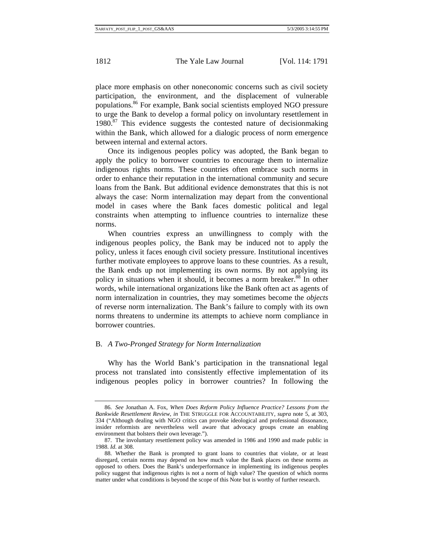place more emphasis on other noneconomic concerns such as civil society participation, the environment, and the displacement of vulnerable populations.86 For example, Bank social scientists employed NGO pressure to urge the Bank to develop a formal policy on involuntary resettlement in  $1980$ <sup>87</sup> This evidence suggests the contested nature of decision making within the Bank, which allowed for a dialogic process of norm emergence between internal and external actors.

Once its indigenous peoples policy was adopted, the Bank began to apply the policy to borrower countries to encourage them to internalize indigenous rights norms. These countries often embrace such norms in order to enhance their reputation in the international community and secure loans from the Bank. But additional evidence demonstrates that this is not always the case: Norm internalization may depart from the conventional model in cases where the Bank faces domestic political and legal constraints when attempting to influence countries to internalize these norms.

When countries express an unwillingness to comply with the indigenous peoples policy, the Bank may be induced not to apply the policy, unless it faces enough civil society pressure. Institutional incentives further motivate employees to approve loans to these countries. As a result, the Bank ends up not implementing its own norms. By not applying its policy in situations when it should, it becomes a norm breaker.<sup>88</sup> In other words, while international organizations like the Bank often act as agents of norm internalization in countries, they may sometimes become the *objects* of reverse norm internalization. The Bank's failure to comply with its own norms threatens to undermine its attempts to achieve norm compliance in borrower countries.

#### B. *A Two-Pronged Strategy for Norm Internalization*

Why has the World Bank's participation in the transnational legal process not translated into consistently effective implementation of its indigenous peoples policy in borrower countries? In following the

<sup>86.</sup> *See* Jonathan A. Fox, *When Does Reform Policy Influence Practice? Lessons from the Bankwide Resettlement Review*, *in* THE STRUGGLE FOR ACCOUNTABILITY, *supra* note 5, at 303, 334 ("Although dealing with NGO critics can provoke ideological and professional dissonance, insider reformists are nevertheless well aware that advocacy groups create an enabling environment that bolsters their own leverage.").

<sup>87.</sup> The involuntary resettlement policy was amended in 1986 and 1990 and made public in 1988. *Id*. at 308.

<sup>88.</sup> Whether the Bank is prompted to grant loans to countries that violate, or at least disregard, certain norms may depend on how much value the Bank places on these norms as opposed to others. Does the Bank's underperformance in implementing its indigenous peoples policy suggest that indigenous rights is not a norm of high value? The question of which norms matter under what conditions is beyond the scope of this Note but is worthy of further research.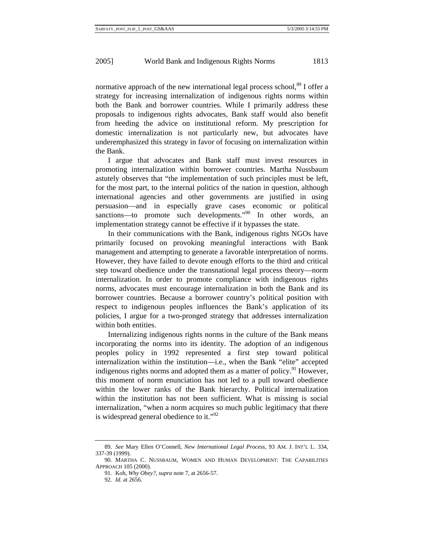normative approach of the new international legal process school,  $8^9$  I offer a strategy for increasing internalization of indigenous rights norms within both the Bank and borrower countries. While I primarily address these proposals to indigenous rights advocates, Bank staff would also benefit from heeding the advice on institutional reform. My prescription for domestic internalization is not particularly new, but advocates have underemphasized this strategy in favor of focusing on internalization within the Bank.

I argue that advocates and Bank staff must invest resources in promoting internalization within borrower countries. Martha Nussbaum astutely observes that "the implementation of such principles must be left, for the most part, to the internal politics of the nation in question, although international agencies and other governments are justified in using persuasion—and in especially grave cases economic or political sanctions—to promote such developments."<sup>90</sup> In other words, an implementation strategy cannot be effective if it bypasses the state.

In their communications with the Bank, indigenous rights NGOs have primarily focused on provoking meaningful interactions with Bank management and attempting to generate a favorable interpretation of norms. However, they have failed to devote enough efforts to the third and critical step toward obedience under the transnational legal process theory—norm internalization. In order to promote compliance with indigenous rights norms, advocates must encourage internalization in both the Bank and its borrower countries. Because a borrower country's political position with respect to indigenous peoples influences the Bank's application of its policies, I argue for a two-pronged strategy that addresses internalization within both entities.

Internalizing indigenous rights norms in the culture of the Bank means incorporating the norms into its identity. The adoption of an indigenous peoples policy in 1992 represented a first step toward political internalization within the institution—i.e., when the Bank "elite" accepted indigenous rights norms and adopted them as a matter of policy.<sup>91</sup> However, this moment of norm enunciation has not led to a pull toward obedience within the lower ranks of the Bank hierarchy. Political internalization within the institution has not been sufficient. What is missing is social internalization, "when a norm acquires so much public legitimacy that there is widespread general obedience to it." $\frac{92}{2}$ 

<sup>89.</sup> *See* Mary Ellen O'Connell, *New International Legal Process*, 93 AM. J. INT'L L. 334, 337-39 (1999).

<sup>90.</sup> MARTHA C. NUSSBAUM, WOMEN AND HUMAN DEVELOPMENT: THE CAPABILITIES APPROACH 105 (2000).

<sup>91.</sup> Koh, *Why Obey?*, *supra* note 7, at 2656-57.

<sup>92.</sup> *Id*. at 2656.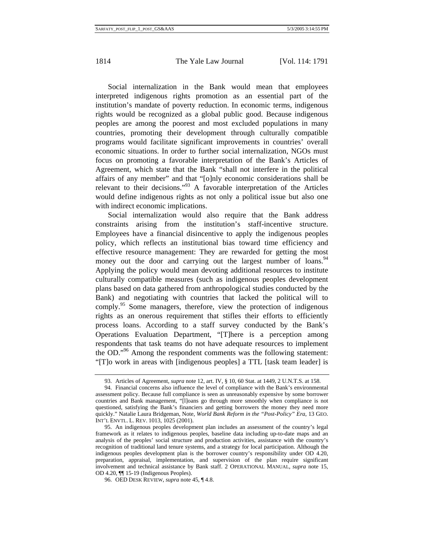Social internalization in the Bank would mean that employees interpreted indigenous rights promotion as an essential part of the institution's mandate of poverty reduction. In economic terms, indigenous rights would be recognized as a global public good. Because indigenous peoples are among the poorest and most excluded populations in many countries, promoting their development through culturally compatible programs would facilitate significant improvements in countries' overall economic situations. In order to further social internalization, NGOs must focus on promoting a favorable interpretation of the Bank's Articles of Agreement, which state that the Bank "shall not interfere in the political affairs of any member" and that "[o]nly economic considerations shall be relevant to their decisions."93 A favorable interpretation of the Articles would define indigenous rights as not only a political issue but also one with indirect economic implications.

Social internalization would also require that the Bank address constraints arising from the institution's staff-incentive structure. Employees have a financial disincentive to apply the indigenous peoples policy, which reflects an institutional bias toward time efficiency and effective resource management: They are rewarded for getting the most money out the door and carrying out the largest number of loans.<sup>94</sup> Applying the policy would mean devoting additional resources to institute culturally compatible measures (such as indigenous peoples development plans based on data gathered from anthropological studies conducted by the Bank) and negotiating with countries that lacked the political will to comply.<sup>95</sup> Some managers, therefore, view the protection of indigenous rights as an onerous requirement that stifles their efforts to efficiently process loans. According to a staff survey conducted by the Bank's Operations Evaluation Department, "[T]here is a perception among respondents that task teams do not have adequate resources to implement the OD."<sup>96</sup> Among the respondent comments was the following statement: "[T]o work in areas with [indigenous peoples] a TTL [task team leader] is

<sup>93.</sup> Articles of Agreement, *supra* note 12, art. IV, § 10, 60 Stat. at 1449, 2 U.N.T.S. at 158.

<sup>94.</sup> Financial concerns also influence the level of compliance with the Bank's environmental assessment policy. Because full compliance is seen as unreasonably expensive by some borrower countries and Bank management, "[l]oans go through more smoothly when compliance is not questioned, satisfying the Bank's financiers and getting borrowers the money they need more quickly." Natalie Laura Bridgeman, Note, *World Bank Reform in the "Post-Policy" Era*, 13 GEO. INT'L ENVTL. L. REV. 1013, 1025 (2001).

<sup>95.</sup> An indigenous peoples development plan includes an assessment of the country's legal framework as it relates to indigenous peoples, baseline data including up-to-date maps and an analysis of the peoples' social structure and production activities, assistance with the country's recognition of traditional land tenure systems, and a strategy for local participation. Although the indigenous peoples development plan is the borrower country's responsibility under OD 4.20, preparation, appraisal, implementation, and supervision of the plan require significant involvement and technical assistance by Bank staff. 2 OPERATIONAL MANUAL, *supra* note 15, OD 4.20, ¶¶ 15-19 (Indigenous Peoples).

<sup>96.</sup> OED DESK REVIEW, *supra* note 45, ¶ 4.8.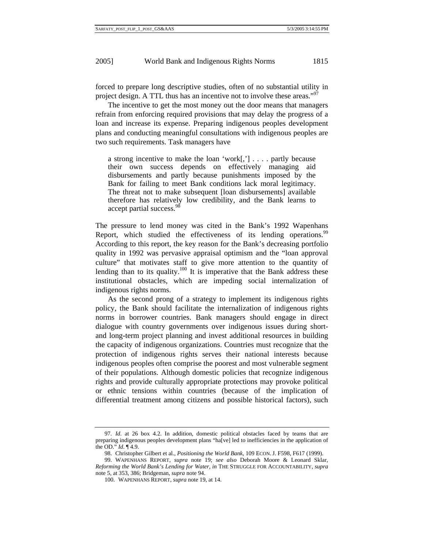forced to prepare long descriptive studies, often of no substantial utility in project design. A TTL thus has an incentive not to involve these areas."<sup>97</sup>

The incentive to get the most money out the door means that managers refrain from enforcing required provisions that may delay the progress of a loan and increase its expense. Preparing indigenous peoples development plans and conducting meaningful consultations with indigenous peoples are two such requirements. Task managers have

a strong incentive to make the loan 'work[,'] . . . . partly because their own success depends on effectively managing aid disbursements and partly because punishments imposed by the Bank for failing to meet Bank conditions lack moral legitimacy. The threat not to make subsequent [loan disbursements] available therefore has relatively low credibility, and the Bank learns to accept partial success.<sup>5</sup>

The pressure to lend money was cited in the Bank's 1992 Wapenhans Report, which studied the effectiveness of its lending operations.<sup>99</sup> According to this report, the key reason for the Bank's decreasing portfolio quality in 1992 was pervasive appraisal optimism and the "loan approval culture" that motivates staff to give more attention to the quantity of lending than to its quality.<sup>100</sup> It is imperative that the Bank address these institutional obstacles, which are impeding social internalization of indigenous rights norms.

As the second prong of a strategy to implement its indigenous rights policy, the Bank should facilitate the internalization of indigenous rights norms in borrower countries. Bank managers should engage in direct dialogue with country governments over indigenous issues during shortand long-term project planning and invest additional resources in building the capacity of indigenous organizations. Countries must recognize that the protection of indigenous rights serves their national interests because indigenous peoples often comprise the poorest and most vulnerable segment of their populations. Although domestic policies that recognize indigenous rights and provide culturally appropriate protections may provoke political or ethnic tensions within countries (because of the implication of differential treatment among citizens and possible historical factors), such

<sup>97.</sup> *Id*. at 26 box 4.2. In addition, domestic political obstacles faced by teams that are preparing indigenous peoples development plans "ha[ve] led to inefficiencies in the application of the OD." *Id*. ¶ 4.9.

<sup>98.</sup> Christopher Gilbert et al., *Positioning the World Bank*, 109 ECON. J. F598, F617 (1999).

<sup>99.</sup> WAPENHANS REPORT, *supra* note 19; *see also* Deborah Moore & Leonard Sklar, *Reforming the World Bank's Lending for Water*, *in* THE STRUGGLE FOR ACCOUNTABILITY, *supra* note 5, at 353, 386; Bridgeman, *supra* note 94.

<sup>100.</sup> WAPENHANS REPORT, *supra* note 19, at 14.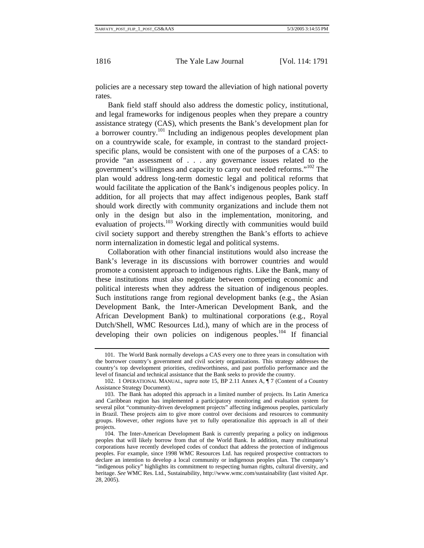policies are a necessary step toward the alleviation of high national poverty rates.

Bank field staff should also address the domestic policy, institutional, and legal frameworks for indigenous peoples when they prepare a country assistance strategy (CAS), which presents the Bank's development plan for a borrower country.101 Including an indigenous peoples development plan on a countrywide scale, for example, in contrast to the standard projectspecific plans, would be consistent with one of the purposes of a CAS: to provide "an assessment of . . . any governance issues related to the government's willingness and capacity to carry out needed reforms."102 The plan would address long-term domestic legal and political reforms that would facilitate the application of the Bank's indigenous peoples policy. In addition, for all projects that may affect indigenous peoples, Bank staff should work directly with community organizations and include them not only in the design but also in the implementation, monitoring, and evaluation of projects.<sup>103</sup> Working directly with communities would build civil society support and thereby strengthen the Bank's efforts to achieve norm internalization in domestic legal and political systems.

Collaboration with other financial institutions would also increase the Bank's leverage in its discussions with borrower countries and would promote a consistent approach to indigenous rights. Like the Bank, many of these institutions must also negotiate between competing economic and political interests when they address the situation of indigenous peoples. Such institutions range from regional development banks (e.g., the Asian Development Bank, the Inter-American Development Bank, and the African Development Bank) to multinational corporations (e.g., Royal Dutch/Shell, WMC Resources Ltd.), many of which are in the process of developing their own policies on indigenous peoples.<sup>104</sup> If financial

<sup>101.</sup> The World Bank normally develops a CAS every one to three years in consultation with the borrower country's government and civil society organizations. This strategy addresses the country's top development priorities, creditworthiness, and past portfolio performance and the level of financial and technical assistance that the Bank seeks to provide the country.

<sup>102. 1</sup> OPERATIONAL MANUAL, *supra* note 15, BP 2.11 Annex A, ¶ 7 (Content of a Country Assistance Strategy Document).

<sup>103.</sup> The Bank has adopted this approach in a limited number of projects. Its Latin America and Caribbean region has implemented a participatory monitoring and evaluation system for several pilot "community-driven development projects" affecting indigenous peoples, particularly in Brazil. These projects aim to give more control over decisions and resources to community groups. However, other regions have yet to fully operationalize this approach in all of their projects.

<sup>104.</sup> The Inter-American Development Bank is currently preparing a policy on indigenous peoples that will likely borrow from that of the World Bank. In addition, many multinational corporations have recently developed codes of conduct that address the protection of indigenous peoples. For example, since 1998 WMC Resources Ltd. has required prospective contractors to declare an intention to develop a local community or indigenous peoples plan. The company's "indigenous policy" highlights its commitment to respecting human rights, cultural diversity, and heritage. *See* WMC Res. Ltd., Sustainability, http://www.wmc.com/sustainability (last visited Apr. 28, 2005).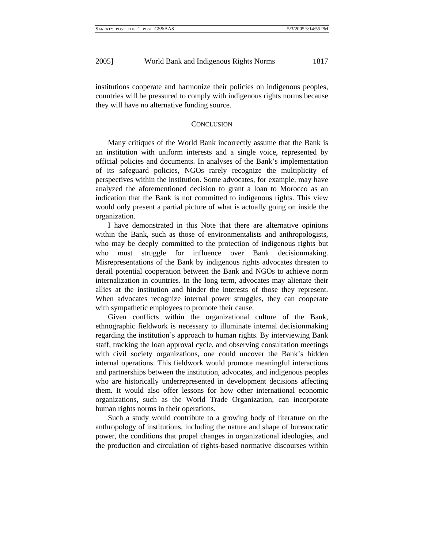institutions cooperate and harmonize their policies on indigenous peoples, countries will be pressured to comply with indigenous rights norms because they will have no alternative funding source.

#### **CONCLUSION**

Many critiques of the World Bank incorrectly assume that the Bank is an institution with uniform interests and a single voice, represented by official policies and documents. In analyses of the Bank's implementation of its safeguard policies, NGOs rarely recognize the multiplicity of perspectives within the institution. Some advocates, for example, may have analyzed the aforementioned decision to grant a loan to Morocco as an indication that the Bank is not committed to indigenous rights. This view would only present a partial picture of what is actually going on inside the organization.

I have demonstrated in this Note that there are alternative opinions within the Bank, such as those of environmentalists and anthropologists, who may be deeply committed to the protection of indigenous rights but who must struggle for influence over Bank decisionmaking. Misrepresentations of the Bank by indigenous rights advocates threaten to derail potential cooperation between the Bank and NGOs to achieve norm internalization in countries. In the long term, advocates may alienate their allies at the institution and hinder the interests of those they represent. When advocates recognize internal power struggles, they can cooperate with sympathetic employees to promote their cause.

Given conflicts within the organizational culture of the Bank, ethnographic fieldwork is necessary to illuminate internal decisionmaking regarding the institution's approach to human rights. By interviewing Bank staff, tracking the loan approval cycle, and observing consultation meetings with civil society organizations, one could uncover the Bank's hidden internal operations. This fieldwork would promote meaningful interactions and partnerships between the institution, advocates, and indigenous peoples who are historically underrepresented in development decisions affecting them. It would also offer lessons for how other international economic organizations, such as the World Trade Organization, can incorporate human rights norms in their operations.

Such a study would contribute to a growing body of literature on the anthropology of institutions, including the nature and shape of bureaucratic power, the conditions that propel changes in organizational ideologies, and the production and circulation of rights-based normative discourses within